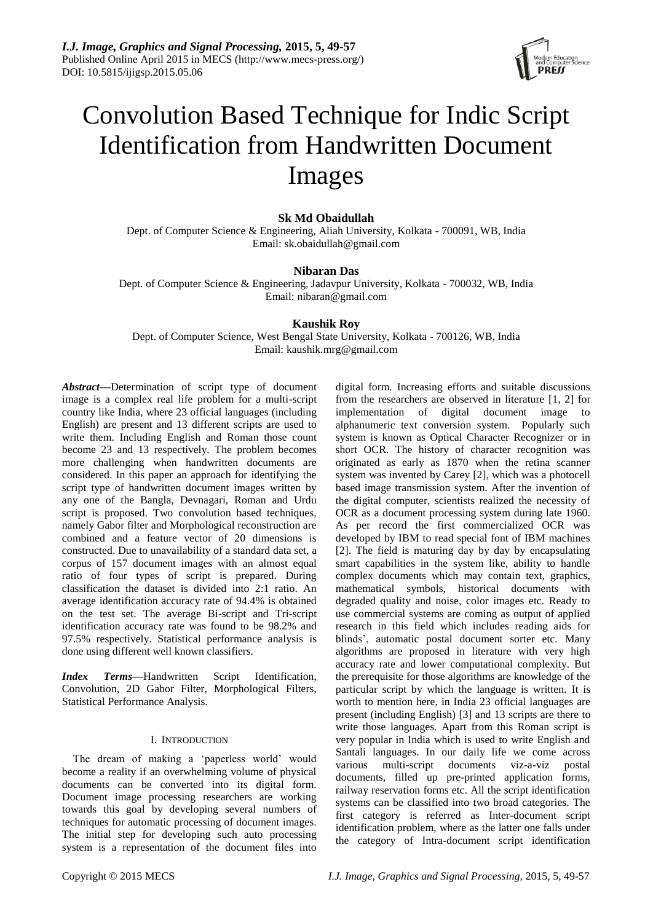

# Convolution Based Technique for Indic Script Identification from Handwritten Document Images

# **Sk Md Obaidullah**

Dept. of Computer Science & Engineering, Aliah University, Kolkata - 700091, WB, India Email: sk.obaidullah@gmail.com

# **Nibaran Das**

Dept. of Computer Science & Engineering, Jadavpur University, Kolkata - 700032, WB, India Email: nibaran@gmail.com

## **Kaushik Roy**

Dept. of Computer Science, West Bengal State University, Kolkata - 700126, WB, India Email: kaushik.mrg@gmail.com

*Abstract***—**Determination of script type of document image is a complex real life problem for a multi-script country like India, where 23 official languages (including English) are present and 13 different scripts are used to write them. Including English and Roman those count become 23 and 13 respectively. The problem becomes more challenging when handwritten documents are considered. In this paper an approach for identifying the script type of handwritten document images written by any one of the Bangla, Devnagari, Roman and Urdu script is proposed. Two convolution based techniques, namely Gabor filter and Morphological reconstruction are combined and a feature vector of 20 dimensions is constructed. Due to unavailability of a standard data set, a corpus of 157 document images with an almost equal ratio of four types of script is prepared. During classification the dataset is divided into 2:1 ratio. An average identification accuracy rate of 94.4% is obtained on the test set. The average Bi-script and Tri-script identification accuracy rate was found to be 98.2% and 97.5% respectively. Statistical performance analysis is done using different well known classifiers.

*Index Terms***—**Handwritten Script Identification, Convolution, 2D Gabor Filter, Morphological Filters, Statistical Performance Analysis.

## I. INTRODUCTION

The dream of making a 'paperless world' would become a reality if an overwhelming volume of physical documents can be converted into its digital form. Document image processing researchers are working towards this goal by developing several numbers of techniques for automatic processing of document images. The initial step for developing such auto processing system is a representation of the document files into

digital form. Increasing efforts and suitable discussions from the researchers are observed in literature [1, 2] for implementation of digital document image to alphanumeric text conversion system. Popularly such system is known as Optical Character Recognizer or in short OCR. The history of character recognition was originated as early as 1870 when the retina scanner system was invented by Carey [2], which was a photocell based image transmission system. After the invention of the digital computer, scientists realized the necessity of OCR as a document processing system during late 1960. As per record the first commercialized OCR was developed by IBM to read special font of IBM machines [2]. The field is maturing day by day by encapsulating smart capabilities in the system like, ability to handle complex documents which may contain text, graphics, mathematical symbols, historical documents with degraded quality and noise, color images etc. Ready to use commercial systems are coming as output of applied research in this field which includes reading aids for blinds", automatic postal document sorter etc. Many algorithms are proposed in literature with very high accuracy rate and lower computational complexity. But the prerequisite for those algorithms are knowledge of the particular script by which the language is written. It is worth to mention here, in India 23 official languages are present (including English) [3] and 13 scripts are there to write those languages. Apart from this Roman script is very popular in India which is used to write English and Santali languages. In our daily life we come across various multi-script documents viz-a-viz postal documents, filled up pre-printed application forms, railway reservation forms etc. All the script identification systems can be classified into two broad categories. The first category is referred as Inter-document script identification problem, where as the latter one falls under the category of Intra-document script identification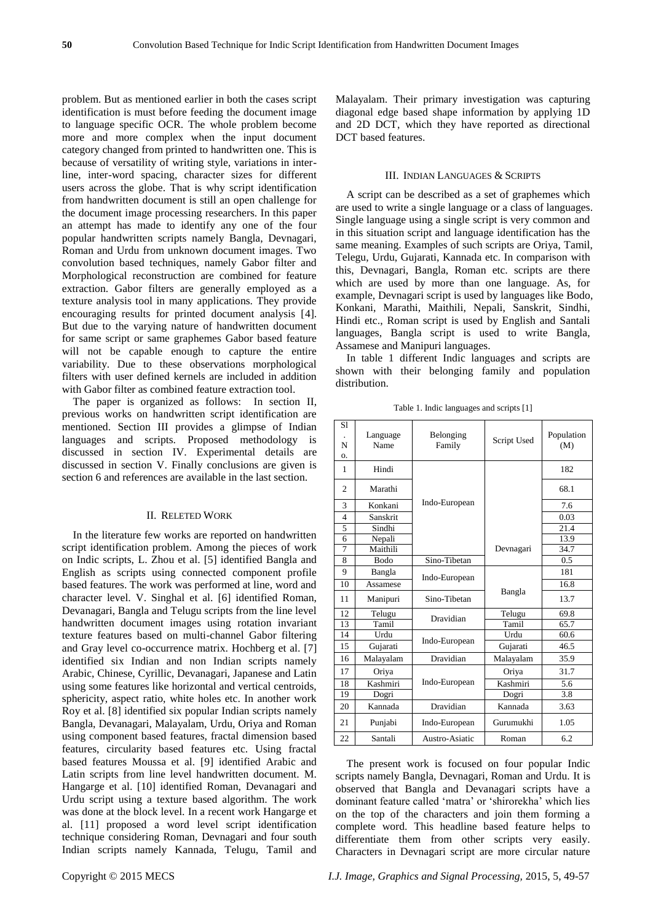problem. But as mentioned earlier in both the cases script identification is must before feeding the document image to language specific OCR. The whole problem become more and more complex when the input document category changed from printed to handwritten one. This is because of versatility of writing style, variations in interline, inter-word spacing, character sizes for different users across the globe. That is why script identification from handwritten document is still an open challenge for the document image processing researchers. In this paper an attempt has made to identify any one of the four popular handwritten scripts namely Bangla, Devnagari, Roman and Urdu from unknown document images. Two convolution based techniques, namely Gabor filter and Morphological reconstruction are combined for feature extraction. Gabor filters are generally employed as a texture analysis tool in many applications. They provide encouraging results for printed document analysis [4]. But due to the varying nature of handwritten document for same script or same graphemes Gabor based feature will not be capable enough to capture the entire variability. Due to these observations morphological filters with user defined kernels are included in addition with Gabor filter as combined feature extraction tool.

The paper is organized as follows: In section II, previous works on handwritten script identification are mentioned. Section III provides a glimpse of Indian languages and scripts. Proposed methodology is discussed in section IV. Experimental details are discussed in section V. Finally conclusions are given is section 6 and references are available in the last section.

### II. RELETED WORK

In the literature few works are reported on handwritten script identification problem. Among the pieces of work on Indic scripts, L. Zhou et al. [5] identified Bangla and English as scripts using connected component profile based features. The work was performed at line, word and character level. V. Singhal et al. [6] identified Roman, Devanagari, Bangla and Telugu scripts from the line level handwritten document images using rotation invariant texture features based on multi-channel Gabor filtering and Gray level co-occurrence matrix. Hochberg et al. [7] identified six Indian and non Indian scripts namely Arabic, Chinese, Cyrillic, Devanagari, Japanese and Latin using some features like horizontal and vertical centroids, sphericity, aspect ratio, white holes etc. In another work Roy et al. [8] identified six popular Indian scripts namely Bangla, Devanagari, Malayalam, Urdu, Oriya and Roman using component based features, fractal dimension based features, circularity based features etc. Using fractal based features Moussa et al. [9] identified Arabic and Latin scripts from line level handwritten document. M. Hangarge et al. [10] identified Roman, Devanagari and Urdu script using a texture based algorithm. The work was done at the block level. In a recent work Hangarge et al. [11] proposed a word level script identification technique considering Roman, Devnagari and four south Indian scripts namely Kannada, Telugu, Tamil and

## III. INDIAN LANGUAGES & SCRIPTS

A script can be described as a set of graphemes which are used to write a single language or a class of languages. Single language using a single script is very common and in this situation script and language identification has the same meaning. Examples of such scripts are Oriya, Tamil, Telegu, Urdu, Gujarati, Kannada etc. In comparison with this, Devnagari, Bangla, Roman etc. scripts are there which are used by more than one language. As, for example, Devnagari script is used by languages like Bodo, Konkani, Marathi, Maithili, Nepali, Sanskrit, Sindhi, Hindi etc., Roman script is used by English and Santali languages, Bangla script is used to write Bangla, Assamese and Manipuri languages.

In table 1 different Indic languages and scripts are shown with their belonging family and population distribution.

| S1<br>N<br>о.            | Language<br>Name | Belonging<br>Family | Script Used | Population<br>(M) |
|--------------------------|------------------|---------------------|-------------|-------------------|
| 1                        | Hindi            |                     |             | 182               |
| $\overline{c}$           | Marathi          |                     |             | 68.1              |
| $\mathcal{R}$            | Konkani          | Indo-European       |             | 76                |
| $\overline{\mathcal{L}}$ | Sanskrit         |                     |             | 0.03              |
| 5                        | Sindhi           |                     |             | 21.4              |
| 6                        | Nepali           |                     |             | 13.9              |
| $\overline{7}$           | Maithili         |                     | Devnagari   | 34.7              |
| 8                        | <b>Bodo</b>      | Sino-Tibetan        |             | 0.5               |
| 9                        | Bangla           | Indo-European       |             | 181               |
| 10                       | Assamese         |                     |             | 16.8              |
| 11                       | Manipuri         | Sino-Tibetan        | Bangla      | 13.7              |
| 12                       | Telugu           | Dravidian           | Telugu      | 69.8              |
| 13                       | Tamil            |                     | Tamil       | 65.7              |
| 14                       | Urdu             |                     | Urdu        | 60.6              |
| 15                       | Gujarati         | Indo-European       | Gujarati    | 46.5              |
| 16                       | Malayalam        | Dravidian           | Malayalam   | 35.9              |
| 17                       | Oriya            |                     | Oriya       | 31.7              |
| 18                       | Kashmiri         | Indo-European       | Kashmiri    | 5.6               |
| 19                       | Dogri            |                     | Dogri       | 3.8               |
| 20                       | Kannada          | Dravidian           | Kannada     | 3.63              |
| 21                       | Punjabi          | Indo-European       | Gurumukhi   | 1.05              |
| 22                       | Santali          | Austro-Asiatic      | Roman       | 6.2               |

Table 1. Indic languages and scripts [1]

The present work is focused on four popular Indic scripts namely Bangla, Devnagari, Roman and Urdu. It is observed that Bangla and Devanagari scripts have a dominant feature called "matra" or "shirorekha" which lies on the top of the characters and join them forming a complete word. This headline based feature helps to differentiate them from other scripts very easily. Characters in Devnagari script are more circular nature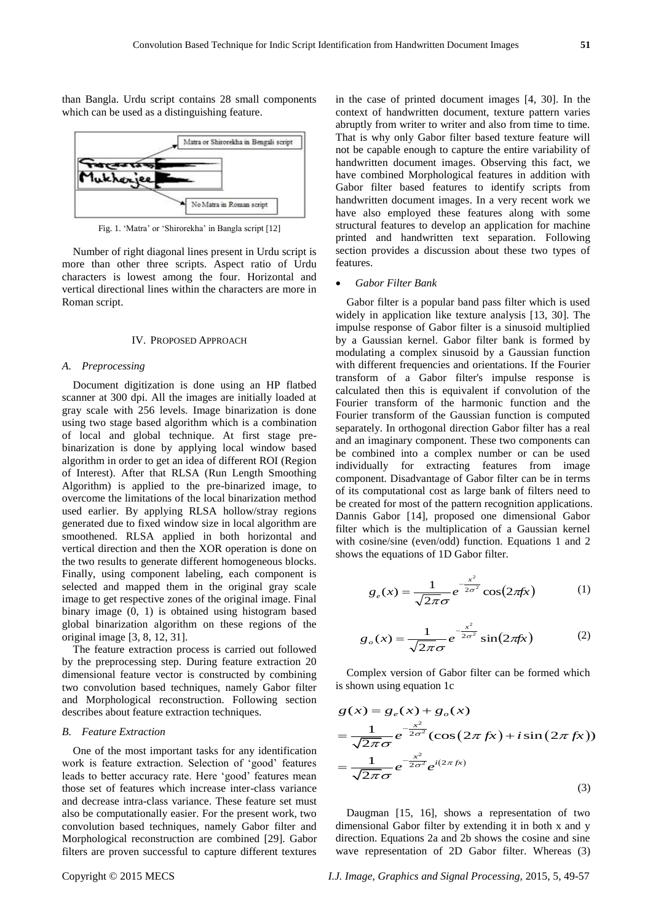than Bangla. Urdu script contains 28 small components which can be used as a distinguishing feature.



Fig. 1. 'Matra' or 'Shirorekha' in Bangla script [12]

Number of right diagonal lines present in Urdu script is more than other three scripts. Aspect ratio of Urdu characters is lowest among the four. Horizontal and vertical directional lines within the characters are more in Roman script.

#### IV. PROPOSED APPROACH

## *A. Preprocessing*

Document digitization is done using an HP flatbed scanner at 300 dpi. All the images are initially loaded at gray scale with 256 levels. Image binarization is done using two stage based algorithm which is a combination of local and global technique. At first stage prebinarization is done by applying local window based algorithm in order to get an idea of different ROI (Region of Interest). After that RLSA (Run Length Smoothing Algorithm) is applied to the pre-binarized image, to overcome the limitations of the local binarization method used earlier. By applying RLSA hollow/stray regions generated due to fixed window size in local algorithm are smoothened. RLSA applied in both horizontal and vertical direction and then the XOR operation is done on the two results to generate different homogeneous blocks. Finally, using component labeling, each component is selected and mapped them in the original gray scale image to get respective zones of the original image. Final binary image (0, 1) is obtained using histogram based global binarization algorithm on these regions of the original image [3, 8, 12, 31].

The feature extraction process is carried out followed by the preprocessing step. During feature extraction 20 dimensional feature vector is constructed by combining two convolution based techniques, namely Gabor filter and Morphological reconstruction. Following section describes about feature extraction techniques.

## *B. Feature Extraction*

One of the most important tasks for any identification work is feature extraction. Selection of "good" features leads to better accuracy rate. Here 'good' features mean those set of features which increase inter-class variance and decrease intra-class variance. These feature set must also be computationally easier. For the present work, two convolution based techniques, namely Gabor filter and Morphological reconstruction are combined [29]. Gabor filters are proven successful to capture different textures in the case of printed document images [4, 30]. In the context of handwritten document, texture pattern varies abruptly from writer to writer and also from time to time. That is why only Gabor filter based texture feature will not be capable enough to capture the entire variability of handwritten document images. Observing this fact, we have combined Morphological features in addition with Gabor filter based features to identify scripts from handwritten document images. In a very recent work we have also employed these features along with some structural features to develop an application for machine printed and handwritten text separation. Following section provides a discussion about these two types of features.

#### *Gabor Filter Bank*

Gabor filter is a popular band pass filter which is used widely in application like texture analysis [13, 30]. The impulse response of Gabor filter is a sinusoid multiplied by a Gaussian kernel. Gabor filter bank is formed by modulating a complex sinusoid by a Gaussian function with different frequencies and orientations. If the Fourier transform of a Gabor filter's impulse response is calculated then this is equivalent if convolution of the Fourier transform of the harmonic function and the Fourier transform of the Gaussian function is computed separately. In orthogonal direction Gabor filter has a real and an imaginary component. These two components can be combined into a complex number or can be used individually for extracting features from image component. Disadvantage of Gabor filter can be in terms of its computational cost as large bank of filters need to be created for most of the pattern recognition applications. Dannis Gabor [14], proposed one dimensional Gabor filter which is the multiplication of a Gaussian kernel with cosine/sine (even/odd) function. Equations 1 and 2 shows the equations of 1D Gabor filter.

$$
g_e(x) = \frac{1}{\sqrt{2\pi}\sigma} e^{-\frac{x^2}{2\sigma^2}} \cos(2\pi f x)
$$
 (1)

$$
g_o(x) = \frac{1}{\sqrt{2\pi}\sigma} e^{-\frac{x^2}{2\sigma^2}} \sin(2\pi f x)
$$
 (2)

Complex version of Gabor filter can be formed which is shown using equation 1c<br>  $g(x) = g_e(x) + g_o(x)$ 

$$
g(x) = g_e(x) + g_o(x)
$$
  
= 
$$
\frac{1}{\sqrt{2\pi}\sigma} e^{-\frac{x^2}{2\sigma^2}} (\cos(2\pi fx) + i \sin(2\pi fx))
$$
  
= 
$$
\frac{1}{\sqrt{2\pi}\sigma} e^{-\frac{x^2}{2\sigma^2}} e^{i(2\pi fx)}
$$
 (3)

Daugman [15, 16], shows a representation of two dimensional Gabor filter by extending it in both x and y direction. Equations 2a and 2b shows the cosine and sine wave representation of 2D Gabor filter. Whereas (3)

Copyright © 2015 MECS *I.J. Image, Graphics and Signal Processing,* 2015, 5, 49-57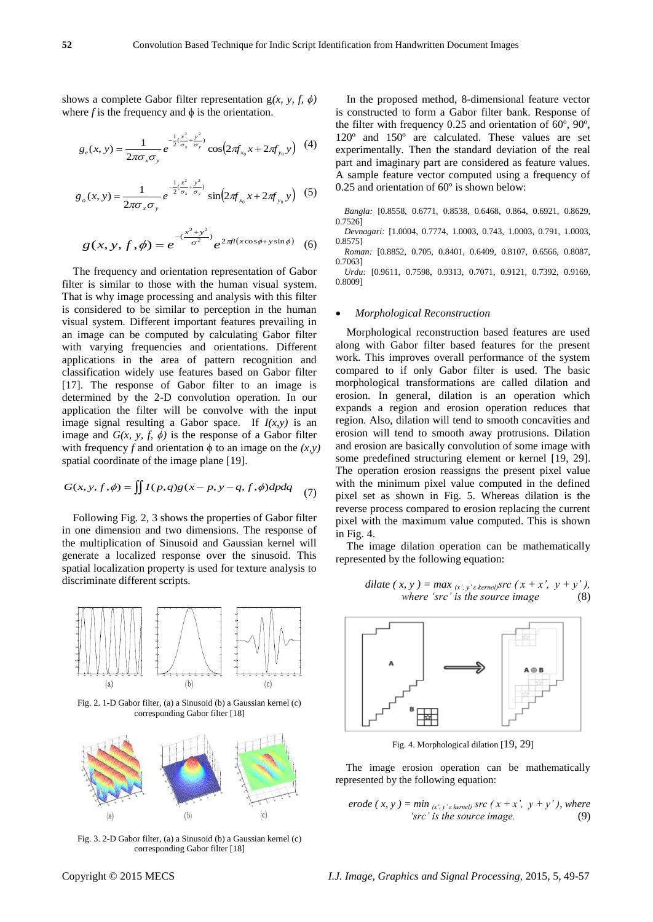shows a complete Gabor filter representation  $g(x, y, f, \phi)$ where  $f$  is the frequency and  $\phi$  is the orientation.

$$
g_e(x, y) = \frac{1}{2\pi\sigma_x\sigma_y} e^{-\frac{1}{2}(\frac{x^2}{\sigma_x} + \frac{y^2}{\sigma_y})} \cos(2\pi f_{x_0}x + 2\pi f_{y_0}y)
$$
 (4)

$$
g_o(x, y) = \frac{1}{2\pi\sigma_x \sigma_y} e^{-\frac{1}{2}(\frac{x^2}{\sigma_x} + \frac{y^2}{\sigma_y})} \sin(2\pi f_{x_0} x + 2\pi f_{y_0} y)
$$
 (5)

$$
g(x, y, f, \phi) = e^{-(\frac{x^2 + y^2}{\sigma^2})} e^{2\pi f(x \cos \phi + y \sin \phi)}
$$
 (6)

The frequency and orientation representation of Gabor filter is similar to those with the human visual system. That is why image processing and analysis with this filter is considered to be similar to perception in the human visual system. Different important features prevailing in an image can be computed by calculating Gabor filter with varying frequencies and orientations. Different applications in the area of pattern recognition and classification widely use features based on Gabor filter [17]. The response of Gabor filter to an image is determined by the 2-D convolution operation. In our application the filter will be convolve with the input image signal resulting a Gabor space. If  $I(x, y)$  is an image and  $G(x, y, f, \phi)$  is the response of a Gabor filter with frequency *f* and orientation  $\phi$  to an image on the  $(x, y)$ spatial coordinate of the image plane [19].

$$
G(x, y, f, \phi) = \iint I(p, q)g(x - p, y - q, f, \phi)dpdq \tag{7}
$$

Following Fig. 2, 3 shows the properties of Gabor filter in one dimension and two dimensions. The response of the multiplication of Sinusoid and Gaussian kernel will generate a localized response over the sinusoid. This spatial localization property is used for texture analysis to discriminate different scripts.



Fig. 3. 2-D Gabor filter, (a) a Sinusoid (b) a Gaussian kernel (c) corresponding Gabor filter [18]

In the proposed method, 8-dimensional feature vector is constructed to form a Gabor filter bank. Response of the filter with frequency  $0.25$  and orientation of  $60^\circ$ ,  $90^\circ$ , 120º and 150º are calculated. These values are set experimentally. Then the standard deviation of the real part and imaginary part are considered as feature values. A sample feature vector computed using a frequency of 0.25 and orientation of  $60^{\circ}$  is shown below:

*Bangla:* [0.8558, 0.6771, 0.8538, 0.6468, 0.864, 0.6921, 0.8629, 0.7526]

*Devnagari:* [1.0004, 0.7774, 1.0003, 0.743, 1.0003, 0.791, 1.0003, 0.8575]

*Roman:* [0.8852, 0.705, 0.8401, 0.6409, 0.8107, 0.6566, 0.8087, 0.7063]

*Urdu:* [0.9611, 0.7598, 0.9313, 0.7071, 0.9121, 0.7392, 0.9169, 0.8009]

## *Morphological Reconstruction*

Morphological reconstruction based features are used along with Gabor filter based features for the present work. This improves overall performance of the system compared to if only Gabor filter is used. The basic morphological transformations are called dilation and erosion. In general, dilation is an operation which expands a region and erosion operation reduces that region. Also, dilation will tend to smooth concavities and erosion will tend to smooth away protrusions. Dilation and erosion are basically convolution of some image with some predefined structuring element or kernel [19, 29]. The operation erosion reassigns the present pixel value with the minimum pixel value computed in the defined pixel set as shown in Fig. 5. Whereas dilation is the reverse process compared to erosion replacing the current pixel with the maximum value computed. This is shown in Fig. 4.

The image dilation operation can be mathematically represented by the following equation:

> *dilate* (*x, y*) =  $max_{(x', y' \in \text{kernel})} src(x + x', y + y'),$ *where 'src' is the source image* (8)



Fig. 4. Morphological dilation [19, 29]

The image erosion operation can be mathematically represented by the following equation:

$$
erode(x, y) = min_{(x', y' \text{ is } \text{kernel})} src(x + x', y + y'), where
$$
  
'src' is the source image. (9)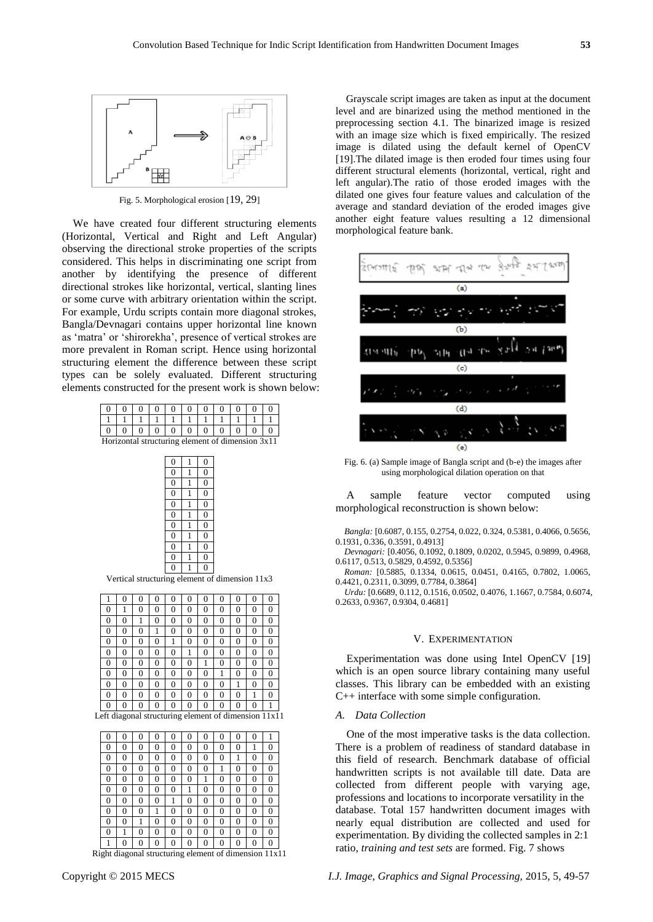

Fig. 5. Morphological erosion [19, 29]

We have created four different structuring elements (Horizontal, Vertical and Right and Left Angular) observing the directional stroke properties of the scripts considered. This helps in discriminating one script from another by identifying the presence of different directional strokes like horizontal, vertical, slanting lines or some curve with arbitrary orientation within the script. For example, Urdu scripts contain more diagonal strokes, Bangla/Devnagari contains upper horizontal line known as "matra" or "shirorekha", presence of vertical strokes are more prevalent in Roman script. Hence using horizontal structuring element the difference between these script types can be solely evaluated. Different structuring elements constructed for the present work is shown below:

| Horizontal structuring element of dimension 3x11 |  |  |  |  |  |  |  |  |  |
|--------------------------------------------------|--|--|--|--|--|--|--|--|--|

| 0              | 1 | 0              |
|----------------|---|----------------|
| $\overline{0}$ | 1 | $\overline{0}$ |
| $\overline{0}$ | 1 | $\overline{0}$ |
| $\overline{0}$ | 1 | $\overline{0}$ |
| $\overline{0}$ | 1 | $\overline{0}$ |
| $\overline{0}$ | 1 | $\overline{0}$ |
| $\overline{0}$ | 1 | $\overline{0}$ |
| $\overline{0}$ | 1 | $\overline{0}$ |
| $\overline{0}$ | 1 | $\overline{0}$ |
| $\overline{0}$ | 1 | $\overline{0}$ |
|                |   | $\dot{c}$      |

Vertical structuring element of dimension 11x3

|          | 0 |          |   | 0 | 0 | 0        |          |          | 0 | 0                                                    |  |
|----------|---|----------|---|---|---|----------|----------|----------|---|------------------------------------------------------|--|
| 0        |   | 0        | 0 | 0 | 0 | 0        | 0        | 0        | 0 | 0                                                    |  |
| $\Omega$ | 0 |          | 0 | 0 | 0 | 0        | 0        | 0        | 0 | 0                                                    |  |
| $\Omega$ | 0 | $\theta$ |   | 0 | 0 | $\Omega$ | $\theta$ | $\theta$ | 0 | $\theta$                                             |  |
| 0        | 0 | $\theta$ | 0 |   | 0 | $\Omega$ | 0        | 0        | 0 | $\overline{0}$                                       |  |
| $\Omega$ | 0 | 0        | 0 | 0 |   | 0        | 0        | 0        | 0 | 0                                                    |  |
| $\Omega$ | 0 | $\theta$ | 0 | 0 | 0 | 1        | 0        | $\theta$ | 0 | $\overline{0}$                                       |  |
| 0        | 0 | 0        | 0 | 0 | 0 | 0        |          | 0        | 0 | 0                                                    |  |
| $\Omega$ | 0 | 0        | 0 | 0 | 0 | 0        | 0        |          | 0 | 0                                                    |  |
| $\Omega$ | 0 | $\Omega$ | 0 | 0 | 0 | $\Omega$ | $\theta$ | 0        |   | $\theta$                                             |  |
| 0        | 0 | 0        | 0 | 0 | 0 | 0        | 0        | 0        | 0 |                                                      |  |
|          |   |          |   |   |   |          |          |          |   | Left diagonal structuring element of dimension 11x11 |  |

0 0 0 0 0 0 0 0 0 0 0 1 0 0 0 0 0 0 0 0 0 0 1 0 0 0 0 0 0 0 0 0 0 1 0 0 0 0 0 0 0 0 0 0 0 0 0 0 0 0 0 0 0 0 0 0 0 0 0 0 0 0 0 0 0 0 0 0 0 0 0 0 0 0 0 0 0 0 1 0 0 0 0 0 0 0 0 0 0 0 1 0 0 0 0 0 0 0 0 0 0 0 1 0 0 0 0 0 0 0 0 0 0 1 0 0 0 0 0 0 0 0 0 1 0 0 0 0 0 0 0 0 0 0 0

Right diagonal structuring element of dimension 11x11

Grayscale script images are taken as input at the document level and are binarized using the method mentioned in the preprocessing section 4.1. The binarized image is resized with an image size which is fixed empirically. The resized image is dilated using the default kernel of OpenCV [19].The dilated image is then eroded four times using four different structural elements (horizontal, vertical, right and left angular).The ratio of those eroded images with the dilated one gives four feature values and calculation of the average and standard deviation of the eroded images give another eight feature values resulting a 12 dimensional morphological feature bank.



Fig. 6. (a) Sample image of Bangla script and (b-e) the images after using morphological dilation operation on that

A sample feature vector computed using morphological reconstruction is shown below:

*Bangla:* [0.6087, 0.155, 0.2754, 0.022, 0.324, 0.5381, 0.4066, 0.5656, 0.1931, 0.336, 0.3591, 0.4913]

*Devnagari:* [0.4056, 0.1092, 0.1809, 0.0202, 0.5945, 0.9899, 0.4968, 0.6117, 0.513, 0.5829, 0.4592, 0.5356]

*Roman:* [0.5885, 0.1334, 0.0615, 0.0451, 0.4165, 0.7802, 1.0065, 0.4421, 0.2311, 0.3099, 0.7784, 0.3864]

*Urdu:* [0.6689, 0.112, 0.1516, 0.0502, 0.4076, 1.1667, 0.7584, 0.6074, 0.2633, 0.9367, 0.9304, 0.4681]

## V. EXPERIMENTATION

Experimentation was done using Intel OpenCV [19] which is an open source library containing many useful classes. This library can be embedded with an existing C++ interface with some simple configuration.

#### *A. Data Collection*

One of the most imperative tasks is the data collection. There is a problem of readiness of standard database in this field of research. Benchmark database of official handwritten scripts is not available till date. Data are collected from different people with varying age, professions and locations to incorporate versatility in the database. Total 157 handwritten document images with nearly equal distribution are collected and used for experimentation. By dividing the collected samples in 2:1 ratio, *training and test sets* are formed. Fig. 7 shows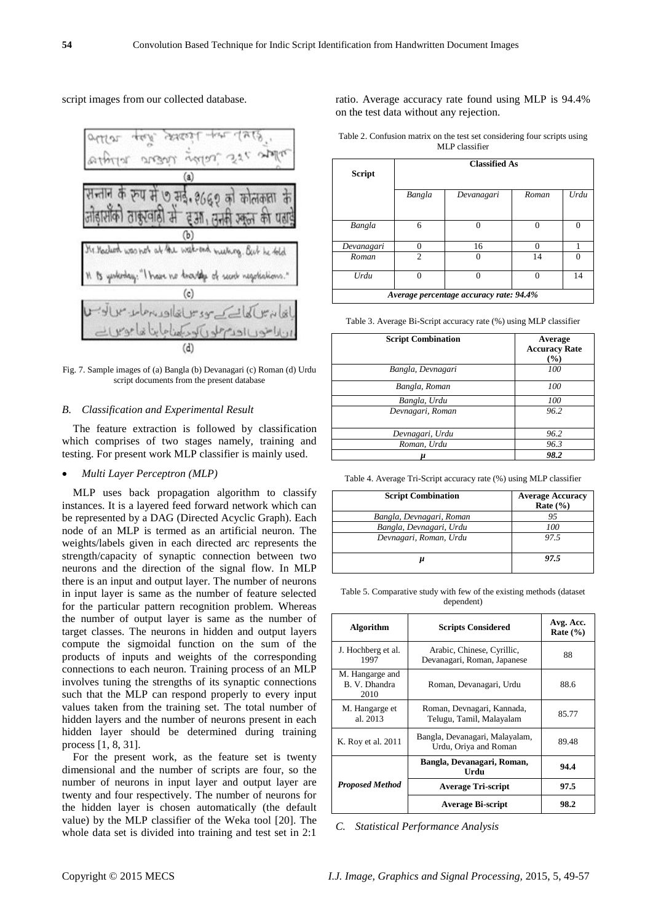## script images from our collected database.



Fig. 7. Sample images of (a) Bangla (b) Devanagari (c) Roman (d) Urdu script documents from the present database

#### *B. Classification and Experimental Result*

The feature extraction is followed by classification which comprises of two stages namely, training and testing. For present work MLP classifier is mainly used.

#### *Multi Layer Perceptron (MLP)*

MLP uses back propagation algorithm to classify instances. It is a layered feed forward network which can be represented by a DAG (Directed Acyclic Graph). Each node of an MLP is termed as an artificial neuron. The weights/labels given in each directed arc represents the strength/capacity of synaptic connection between two neurons and the direction of the signal flow. In MLP there is an input and output layer. The number of neurons in input layer is same as the number of feature selected for the particular pattern recognition problem. Whereas the number of output layer is same as the number of target classes. The neurons in hidden and output layers compute the sigmoidal function on the sum of the products of inputs and weights of the corresponding connections to each neuron. Training process of an MLP involves tuning the strengths of its synaptic connections such that the MLP can respond properly to every input values taken from the training set. The total number of hidden layers and the number of neurons present in each hidden layer should be determined during training process [1, 8, 31].

For the present work, as the feature set is twenty dimensional and the number of scripts are four, so the number of neurons in input layer and output layer are twenty and four respectively. The number of neurons for the hidden layer is chosen automatically (the default value) by the MLP classifier of the Weka tool [20]. The whole data set is divided into training and test set in 2:1

ratio. Average accuracy rate found using MLP is 94.4% on the test data without any rejection.

|  |  |                | Table 2. Confusion matrix on the test set considering four scripts using |  |  |
|--|--|----------------|--------------------------------------------------------------------------|--|--|
|  |  | MLP classifier |                                                                          |  |  |

|                                         | <b>Classified As</b> |            |          |          |  |  |  |  |
|-----------------------------------------|----------------------|------------|----------|----------|--|--|--|--|
| <b>Script</b>                           |                      |            |          |          |  |  |  |  |
|                                         | Bangla               | Devanagari | Roman    | Urdu     |  |  |  |  |
| Bangla                                  | 6                    | $\Omega$   | $\theta$ | $\Omega$ |  |  |  |  |
| Devanagari                              | 0                    | 16         | $\Omega$ |          |  |  |  |  |
| Roman                                   | $\mathfrak{D}$       |            | 14       |          |  |  |  |  |
| Urdu                                    | 0                    | 0          | $\Omega$ | 14       |  |  |  |  |
| Average percentage accuracy rate: 94.4% |                      |            |          |          |  |  |  |  |

Table 3. Average Bi-Script accuracy rate (%) using MLP classifier

| <b>Script Combination</b> | Average<br><b>Accuracy Rate</b><br>(%) |
|---------------------------|----------------------------------------|
| Bangla, Devnagari         | 100                                    |
| Bangla, Roman             | 100                                    |
| Bangla, Urdu              | 100                                    |
| Devnagari, Roman          | 96.2                                   |
| Devnagari, Urdu           | 96.2                                   |
| Roman, Urdu               | 96.3                                   |
|                           | 98.2                                   |

Table 4. Average Tri-Script accuracy rate (%) using MLP classifier

| <b>Script Combination</b> | <b>Average Accuracy</b><br>Rate $(\% )$ |
|---------------------------|-----------------------------------------|
| Bangla, Devnagari, Roman  | 95                                      |
| Bangla, Devnagari, Urdu   | 100                                     |
| Devnagari, Roman, Urdu    | 97.5                                    |
|                           | 97.5                                    |

Table 5. Comparative study with few of the existing methods (dataset dependent)

| <b>Algorithm</b>                         | <b>Scripts Considered</b>                                 | Avg. Acc.<br>Rate $(\% )$ |
|------------------------------------------|-----------------------------------------------------------|---------------------------|
| J. Hochberg et al.<br>1997               | Arabic, Chinese, Cyrillic,<br>Devanagari, Roman, Japanese | 88                        |
| M. Hangarge and<br>B. V. Dhandra<br>2010 | Roman, Devanagari, Urdu                                   | 88.6                      |
| M. Hangarge et<br>al. 2013               | Roman, Devnagari, Kannada,<br>Telugu, Tamil, Malayalam    | 85.77                     |
| K. Roy et al. 2011                       | Bangla, Devanagari, Malayalam,<br>Urdu, Oriya and Roman   |                           |
|                                          | Bangla, Devanagari, Roman,<br>Urdu                        | 94.4                      |
| <b>Proposed Method</b>                   | <b>Average Tri-script</b>                                 | 97.5                      |
|                                          | <b>Average Bi-script</b>                                  | 98.2                      |

*C. Statistical Performance Analysis*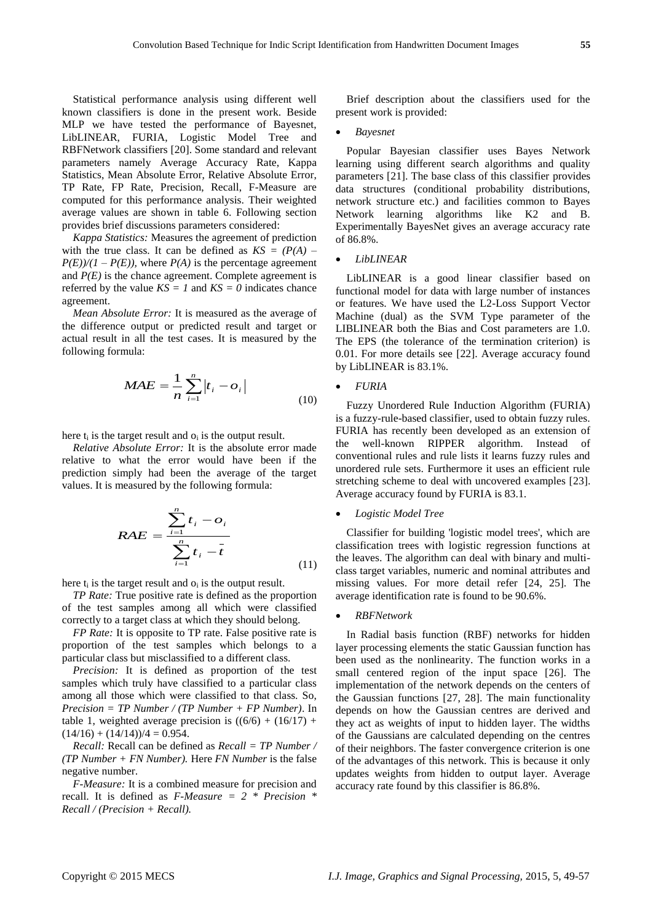Statistical performance analysis using different well known classifiers is done in the present work. Beside MLP we have tested the performance of Bayesnet, LibLINEAR, FURIA, Logistic Model Tree and RBFNetwork classifiers [20]. Some standard and relevant parameters namely Average Accuracy Rate, Kappa Statistics, Mean Absolute Error, Relative Absolute Error, TP Rate, FP Rate, Precision, Recall, F-Measure are computed for this performance analysis. Their weighted average values are shown in table 6. Following section provides brief discussions parameters considered:

*Kappa Statistics:* Measures the agreement of prediction with the true class. It can be defined as  $KS = (P(A) - \mathbb{I})$  $P(E)/(1 - P(E))$ , where  $P(A)$  is the percentage agreement and *P(E)* is the chance agreement. Complete agreement is referred by the value  $KS = 1$  and  $KS = 0$  indicates chance agreement.

*Mean Absolute Error:* It is measured as the average of the difference output or predicted result and target or actual result in all the test cases. It is measured by the following formula:

$$
MAE = \frac{1}{n} \sum_{i=1}^{n} |t_i - o_i|
$$
 (10)

here  $t_i$  is the target result and  $o_i$  is the output result.

*Relative Absolute Error:* It is the absolute error made relative to what the error would have been if the prediction simply had been the average of the target values. It is measured by the following formula:

$$
RAE = \frac{\sum_{i=1}^{n} t_i - o_i}{\sum_{i=1}^{n} t_i - \bar{t}}
$$
\n(11)

here  $t_i$  is the target result and  $o_i$  is the output result.

*TP Rate:* True positive rate is defined as the proportion of the test samples among all which were classified correctly to a target class at which they should belong.

*FP Rate:* It is opposite to TP rate. False positive rate is proportion of the test samples which belongs to a particular class but misclassified to a different class.

*Precision:* It is defined as proportion of the test samples which truly have classified to a particular class among all those which were classified to that class. So, *Precision = TP Number / (TP Number + FP Number)*. In table 1, weighted average precision is  $((6/6) + (16/17) +$  $(14/16) + (14/14)/4 = 0.954$ .

*Recall:* Recall can be defined as *Recall = TP Number / (TP Number + FN Number).* Here *FN Number* is the false negative number.

*F-Measure:* It is a combined measure for precision and recall. It is defined as *F-Measure = 2 \* Precision \* Recall / (Precision + Recall).*

Brief description about the classifiers used for the present work is provided:

## *Bayesnet*

Popular Bayesian classifier uses Bayes Network learning using different search algorithms and quality parameters [21]. The base class of this classifier provides data structures (conditional probability distributions, network structure etc.) and facilities common to Bayes Network learning algorithms like K2 and B. Experimentally BayesNet gives an average accuracy rate of 86.8%.

## *LibLINEAR*

LibLINEAR is a good linear classifier based on functional model for data with large number of instances or features. We have used the L2-Loss Support Vector Machine (dual) as the SVM Type parameter of the LIBLINEAR both the Bias and Cost parameters are 1.0. The EPS (the tolerance of the termination criterion) is 0.01. For more details see [22]. Average accuracy found by LibLINEAR is 83.1%.

#### *FURIA*

Fuzzy Unordered Rule Induction Algorithm (FURIA) is a fuzzy-rule-based classifier, used to obtain fuzzy rules. FURIA has recently been developed as an extension of the well-known RIPPER algorithm. Instead of conventional rules and rule lists it learns fuzzy rules and unordered rule sets. Furthermore it uses an efficient rule stretching scheme to deal with uncovered examples [23]. Average accuracy found by FURIA is 83.1.

## *Logistic Model Tree*

Classifier for building 'logistic model trees', which are classification trees with logistic regression functions at the leaves. The algorithm can deal with binary and multiclass target variables, numeric and nominal attributes and missing values. For more detail refer [24, 25]. The average identification rate is found to be 90.6%.

#### *RBFNetwork*

In Radial basis function (RBF) networks for hidden layer processing elements the static Gaussian function has been used as the nonlinearity. The function works in a small centered region of the input space [26]. The implementation of the network depends on the centers of the Gaussian functions [27, 28]. The main functionality depends on how the Gaussian centres are derived and they act as weights of input to hidden layer. The widths of the Gaussians are calculated depending on the centres of their neighbors. The faster convergence criterion is one of the advantages of this network. This is because it only updates weights from hidden to output layer. Average accuracy rate found by this classifier is 86.8%.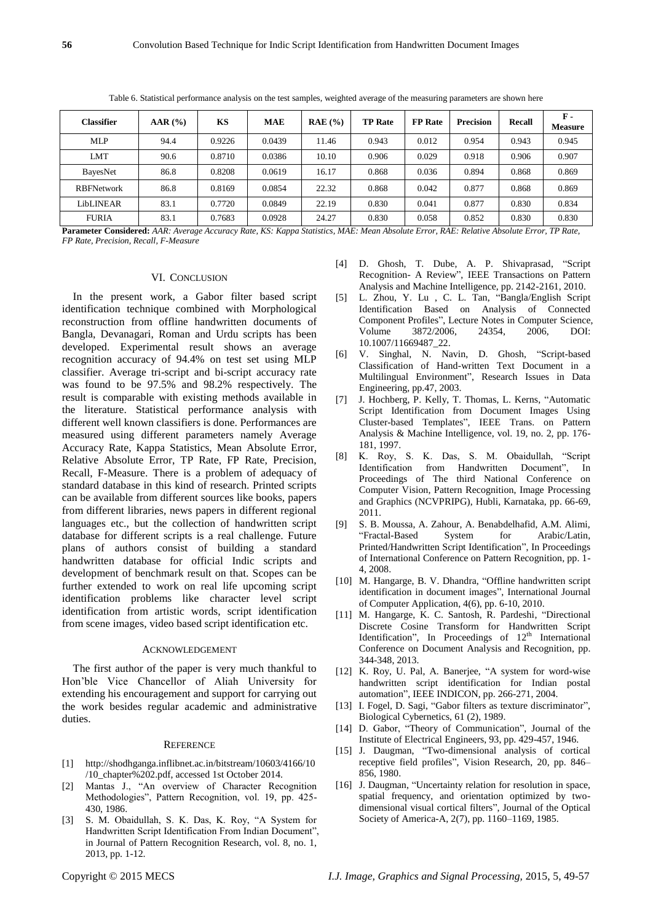| Classifier        | AAR (%) | KS     | <b>MAE</b> | RAE(%) | <b>TP Rate</b> | <b>FP</b> Rate | <b>Precision</b> | <b>Recall</b> | $\mathbf{F}$ -<br><b>Measure</b> |
|-------------------|---------|--------|------------|--------|----------------|----------------|------------------|---------------|----------------------------------|
| <b>MLP</b>        | 94.4    | 0.9226 | 0.0439     | 11.46  | 0.943          | 0.012          | 0.954            | 0.943         | 0.945                            |
| <b>LMT</b>        | 90.6    | 0.8710 | 0.0386     | 10.10  | 0.906          | 0.029          | 0.918            | 0.906         | 0.907                            |
| BayesNet          | 86.8    | 0.8208 | 0.0619     | 16.17  | 0.868          | 0.036          | 0.894            | 0.868         | 0.869                            |
| <b>RBFNetwork</b> | 86.8    | 0.8169 | 0.0854     | 22.32  | 0.868          | 0.042          | 0.877            | 0.868         | 0.869                            |
| LibLINEAR         | 83.1    | 0.7720 | 0.0849     | 22.19  | 0.830          | 0.041          | 0.877            | 0.830         | 0.834                            |
| <b>FURIA</b>      | 83.1    | 0.7683 | 0.0928     | 24.27  | 0.830          | 0.058          | 0.852            | 0.830         | 0.830                            |

Table 6. Statistical performance analysis on the test samples, weighted average of the measuring parameters are shown here

**Parameter Considered:** *AAR: Average Accuracy Rate, KS: Kappa Statistics, MAE: Mean Absolute Error, RAE: Relative Absolute Error, TP Rate, FP Rate, Precision, Recall, F-Measure*

#### VI. CONCLUSION

In the present work, a Gabor filter based script identification technique combined with Morphological reconstruction from offline handwritten documents of Bangla, Devanagari, Roman and Urdu scripts has been developed. Experimental result shows an average recognition accuracy of 94.4% on test set using MLP classifier. Average tri-script and bi-script accuracy rate was found to be 97.5% and 98.2% respectively. The result is comparable with existing methods available in the literature. Statistical performance analysis with different well known classifiers is done. Performances are measured using different parameters namely Average Accuracy Rate, Kappa Statistics, Mean Absolute Error, Relative Absolute Error, TP Rate, FP Rate, Precision, Recall, F-Measure. There is a problem of adequacy of standard database in this kind of research. Printed scripts can be available from different sources like books, papers from different libraries, news papers in different regional languages etc., but the collection of handwritten script database for different scripts is a real challenge. Future plans of authors consist of building a standard handwritten database for official Indic scripts and development of benchmark result on that. Scopes can be further extended to work on real life upcoming script identification problems like character level script identification from artistic words, script identification from scene images, video based script identification etc.

#### ACKNOWLEDGEMENT

The first author of the paper is very much thankful to Hon"ble Vice Chancellor of Aliah University for extending his encouragement and support for carrying out the work besides regular academic and administrative duties.

#### **REFERENCE**

- [1] http://shodhganga.inflibnet.ac.in/bitstream/10603/4166/10 /10\_chapter%202.pdf, accessed 1st October 2014.
- [2] Mantas J., "An overview of Character Recognition Methodologies", Pattern Recognition, vol. 19, pp. 425- 430, 1986.
- [3] S. M. Obaidullah, S. K. Das, K. Roy, "A System for Handwritten Script Identification From Indian Document", in Journal of Pattern Recognition Research, vol. 8, no. 1, 2013, pp. 1-12.
- [4] D. Ghosh, T. Dube, A. P. Shivaprasad, "Script Recognition- A Review", IEEE Transactions on Pattern Analysis and Machine Intelligence, pp. 2142-2161, 2010.
- [5] L. Zhou, Y. Lu , C. L. Tan, "Bangla/English Script Identification Based on Analysis of Connected Component Profiles", Lecture Notes in Computer Science, Volume 3872/2006, 24354, 2006, DOI: 10.1007/11669487\_22.
- [6] V. Singhal, N. Navin, D. Ghosh, "Script-based Classification of Hand-written Text Document in a Multilingual Environment", Research Issues in Data Engineering, pp.47, 2003.
- [7] J. Hochberg, P. Kelly, T. Thomas, L. Kerns, "Automatic Script Identification from Document Images Using Cluster-based Templates", IEEE Trans. on Pattern Analysis & Machine Intelligence, vol. 19, no. 2, pp. 176- 181, 1997.
- [8] K. Roy, S. K. Das, S. M. Obaidullah, "Script Identification from Handwritten Document", In Proceedings of The third National Conference on Computer Vision, Pattern Recognition, Image Processing and Graphics (NCVPRIPG), Hubli, Karnataka, pp. 66-69, 2011.
- [9] S. B. Moussa, A. Zahour, A. Benabdelhafid, A.M. Alimi, "Fractal-Based System for Arabic/Latin, Printed/Handwritten Script Identification", In Proceedings of International Conference on Pattern Recognition, pp. 1- 4, 2008.
- [10] M. Hangarge, B. V. Dhandra, "Offline handwritten script identification in document images", International Journal of Computer Application, 4(6), pp. 6-10, 2010.
- [11] M. Hangarge, K. C. Santosh, R. Pardeshi, "Directional Discrete Cosine Transform for Handwritten Script Identification", In Proceedings of 12<sup>th</sup> International Conference on Document Analysis and Recognition, pp. 344-348, 2013.
- [12] K. Roy, U. Pal, A. Banerjee, "A system for word-wise handwritten script identification for Indian postal automation", IEEE INDICON, pp. 266-271, 2004.
- [13] I. Fogel, D. Sagi, "Gabor filters as texture discriminator", Biological Cybernetics, 61 (2), 1989.
- [14] D. Gabor, "Theory of Communication", Journal of the Institute of Electrical Engineers, 93, pp. 429-457, 1946.
- [15] J. Daugman, "Two-dimensional analysis of cortical receptive field profiles", Vision Research, 20, pp. 846– 856, 1980.
- [16] J. Daugman, "Uncertainty relation for resolution in space, spatial frequency, and orientation optimized by twodimensional visual cortical filters", Journal of the Optical Society of America-A, 2(7), pp. 1160–1169, 1985.